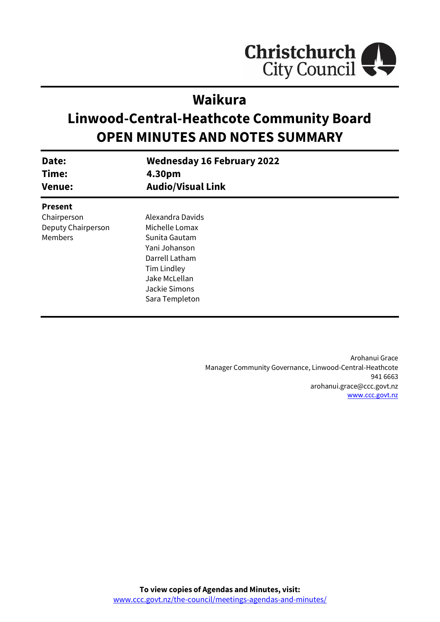

# **Waikura**

# **Linwood-Central-Heathcote Community Board OPEN MINUTES AND NOTES SUMMARY**

| Date:<br>Time:<br><b>Venue:</b> | <b>Wednesday 16 February 2022</b><br>4.30pm<br><b>Audio/Visual Link</b> |
|---------------------------------|-------------------------------------------------------------------------|
| <b>Present</b>                  |                                                                         |
| Chairperson                     | Alexandra Davids                                                        |
| Deputy Chairperson              | Michelle Lomax                                                          |
| <b>Members</b>                  | Sunita Gautam                                                           |
|                                 | Yani Johanson                                                           |
|                                 | Darrell Latham                                                          |
|                                 | Tim Lindley                                                             |
|                                 | Jake McLellan                                                           |
|                                 | Jackie Simons                                                           |
|                                 | Sara Templeton                                                          |

Arohanui Grace Manager Community Governance, Linwood-Central-Heathcote 941 6663 arohanui.grace@ccc.govt.nz [www.ccc.govt.nz](http://www.ccc.govt.nz/)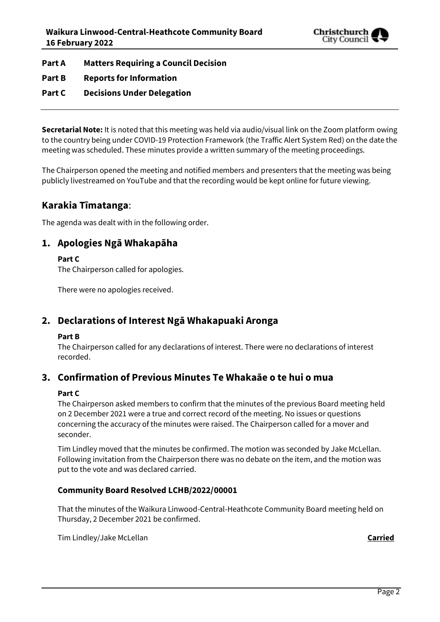

**Part A Matters Requiring a Council Decision**

- **Part B Reports for Information**
- **Part C Decisions Under Delegation**

**Secretarial Note:** It is noted that this meeting was held via audio/visual link on the Zoom platform owing to the country being under COVID-19 Protection Framework (the Traffic Alert System Red) on the date the meeting was scheduled. These minutes provide a written summary of the meeting proceedings.

The Chairperson opened the meeting and notified members and presenters that the meeting was being publicly livestreamed on YouTube and that the recording would be kept online for future viewing.

# **Karakia Tīmatanga**:

The agenda was dealt with in the following order.

# **1. Apologies Ngā Whakapāha**

**Part C** 

The Chairperson called for apologies.

There were no apologies received.

# **2. Declarations of Interest Ngā Whakapuaki Aronga**

#### **Part B**

The Chairperson called for any declarations of interest. There were no declarations of interest recorded.

# **3. Confirmation of Previous Minutes Te Whakaāe o te hui o mua**

#### **Part C**

The Chairperson asked members to confirm that the minutes of the previous Board meeting held on 2 December 2021 were a true and correct record of the meeting. No issues or questions concerning the accuracy of the minutes were raised. The Chairperson called for a mover and seconder.

Tim Lindley moved that the minutes be confirmed. The motion was seconded by Jake McLellan. Following invitation from the Chairperson there was no debate on the item, and the motion was put to the vote and was declared carried.

#### **Community Board Resolved LCHB/2022/00001**

That the minutes of the Waikura Linwood-Central-Heathcote Community Board meeting held on Thursday, 2 December 2021 be confirmed.

Tim Lindley/Jake McLellan **Carried**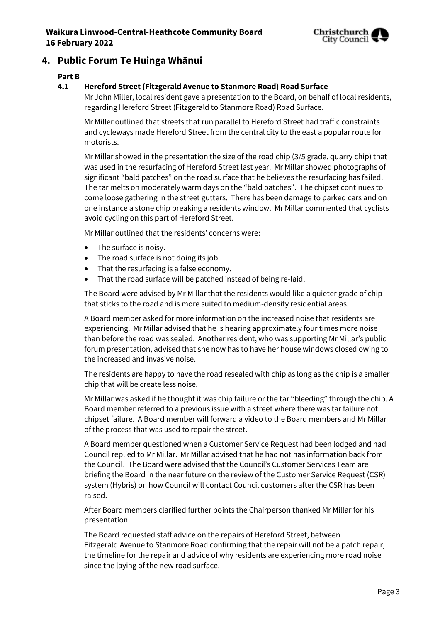

# **4. Public Forum Te Huinga Whānui**

#### **Part B**

#### **4.1 Hereford Street (Fitzgerald Avenue to Stanmore Road) Road Surface**

Mr John Miller, local resident gave a presentation to the Board, on behalf of local residents, regarding Hereford Street (Fitzgerald to Stanmore Road) Road Surface.

Mr Miller outlined that streets that run parallel to Hereford Street had traffic constraints and cycleways made Hereford Street from the central city to the east a popular route for motorists.

Mr Millar showed in the presentation the size of the road chip (3/5 grade, quarry chip) that was used in the resurfacing of Hereford Street last year. Mr Millar showed photographs of significant "bald patches" on the road surface that he believes the resurfacing has failed. The tar melts on moderately warm days on the "bald patches". The chipset continues to come loose gathering in the street gutters. There has been damage to parked cars and on one instance a stone chip breaking a residents window. Mr Millar commented that cyclists avoid cycling on this part of Hereford Street.

Mr Millar outlined that the residents' concerns were:

- The surface is noisy.
- The road surface is not doing its job.
- That the resurfacing is a false economy.
- That the road surface will be patched instead of being re-laid.

The Board were advised by Mr Millar that the residents would like a quieter grade of chip that sticks to the road and is more suited to medium-density residential areas.

A Board member asked for more information on the increased noise that residents are experiencing. Mr Millar advised that he is hearing approximately four times more noise than before the road was sealed. Another resident, who was supporting Mr Millar's public forum presentation, advised that she now has to have her house windows closed owing to the increased and invasive noise.

The residents are happy to have the road resealed with chip as long as the chip is a smaller chip that will be create less noise.

Mr Millar was asked if he thought it was chip failure or the tar "bleeding" through the chip. A Board member referred to a previous issue with a street where there was tar failure not chipset failure. A Board member will forward a video to the Board members and Mr Millar of the process that was used to repair the street.

A Board member questioned when a Customer Service Request had been lodged and had Council replied to Mr Millar. Mr Millar advised that he had not has information back from the Council. The Board were advised that the Council's Customer Services Team are briefing the Board in the near future on the review of the Customer Service Request (CSR) system (Hybris) on how Council will contact Council customers after the CSR has been raised.

After Board members clarified further points the Chairperson thanked Mr Millar for his presentation.

The Board requested staff advice on the repairs of Hereford Street, between Fitzgerald Avenue to Stanmore Road confirming that the repair will not be a patch repair, the timeline for the repair and advice of why residents are experiencing more road noise since the laying of the new road surface.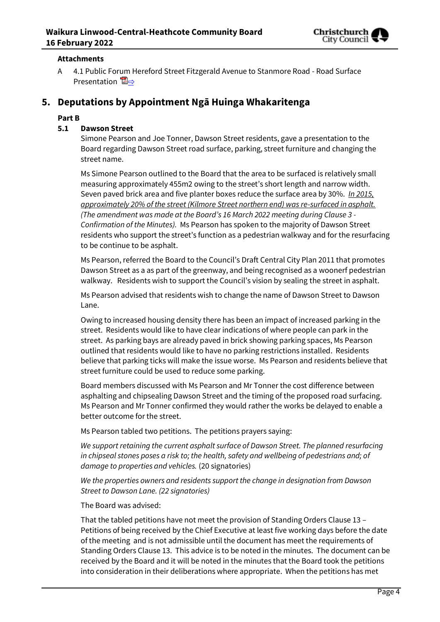

#### **Attachments**

A 4.1 Public Forum Hereford Street Fitzgerald Avenue to Stanmore Road - Road Surface Presentation  $\mathbb{Z} \Rightarrow$ 

# **5. Deputations by Appointment Ngā Huinga Whakaritenga**

#### **Part B**

#### **5.1 Dawson Street**

Simone Pearson and Joe Tonner, Dawson Street residents, gave a presentation to the Board regarding Dawson Street road surface, parking, street furniture and changing the street name.

Ms Simone Pearson outlined to the Board that the area to be surfaced is relatively small measuring approximately 455m2 owing to the street's short length and narrow width. Seven paved brick area and five planter boxes reduce the surface area by 30%. *In 2015, approximately 20% of the street (Kilmore Street northern end) was re-surfaced in asphalt. (The amendment was made at the Board's 16 March 2022 meeting during Clause 3 - Confirmation of the Minutes).* Ms Pearson has spoken to the majority of Dawson Street residents who support the street's function as a pedestrian walkway and for the resurfacing to be continue to be asphalt.

Ms Pearson, referred the Board to the Council's Draft Central City Plan 2011 that promotes Dawson Street as a as part of the greenway, and being recognised as a woonerf pedestrian walkway. Residents wish to support the Council's vision by sealing the street in asphalt.

Ms Pearson advised that residents wish to change the name of Dawson Street to Dawson Lane.

Owing to increased housing density there has been an impact of increased parking in the street. Residents would like to have clear indications of where people can park in the street. As parking bays are already paved in brick showing parking spaces, Ms Pearson outlined that residents would like to have no parking restrictions installed. Residents believe that parking ticks will make the issue worse. Ms Pearson and residents believe that street furniture could be used to reduce some parking.

Board members discussed with Ms Pearson and Mr Tonner the cost difference between asphalting and chipsealing Dawson Street and the timing of the proposed road surfacing. Ms Pearson and Mr Tonner confirmed they would rather the works be delayed to enable a better outcome for the street.

Ms Pearson tabled two petitions. The petitions prayers saying:

*We support retaining the current asphalt surface of Dawson Street. The planned resurfacing in chipseal stones poses a risk to; the health, safety and wellbeing of pedestrians and; of damage to properties and vehicles.* (20 signatories)

*We the properties owners and residents support the change in designation from Dawson Street to Dawson Lane. (22 signatories)*

The Board was advised:

That the tabled petitions have not meet the provision of Standing Orders Clause 13 – Petitions of being received by the Chief Executive at least five working days before the date of the meeting and is not admissible until the document has meet the requirements of Standing Orders Clause 13. This advice is to be noted in the minutes. The document can be received by the Board and it will be noted in the minutes that the Board took the petitions into consideration in their deliberations where appropriate. When the petitions has met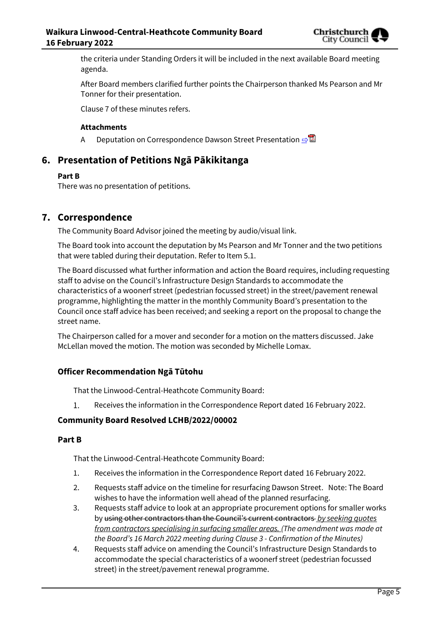

the criteria under Standing Orders it will be included in the next available Board meeting agenda.

After Board members clarified further points the Chairperson thanked Ms Pearson and Mr Tonner for their presentation.

Clause 7 of these minutes refers.

#### **Attachments**

A Deputation on Correspondence Dawson Street Presentation **[⇨](../../../RedirectToInvalidFileName.aspx?FileName=LCHB_20220216_MAT_7600.PDF#PAGE=13)</u>** 

# **6. Presentation of Petitions Ngā Pākikitanga**

#### **Part B**

There was no presentation of petitions.

# **7. Correspondence**

The Community Board Advisor joined the meeting by audio/visual link.

The Board took into account the deputation by Ms Pearson and Mr Tonner and the two petitions that were tabled during their deputation. Refer to Item 5.1.

The Board discussed what further information and action the Board requires, including requesting staff to advise on the Council's Infrastructure Design Standards to accommodate the characteristics of a woonerf street (pedestrian focussed street) in the street/pavement renewal programme, highlighting the matter in the monthly Community Board's presentation to the Council once staff advice has been received; and seeking a report on the proposal to change the street name.

The Chairperson called for a mover and seconder for a motion on the matters discussed. Jake McLellan moved the motion. The motion was seconded by Michelle Lomax.

#### **Officer Recommendation Ngā Tūtohu**

That the Linwood-Central-Heathcote Community Board:

Receives the information in the Correspondence Report dated 16 February 2022. 1.

#### **Community Board Resolved LCHB/2022/00002**

#### **Part B**

That the Linwood-Central-Heathcote Community Board:

- 1. Receives the information in the Correspondence Report dated 16 February 2022.
- 2. Requests staff advice on the timeline for resurfacing Dawson Street. Note: The Board wishes to have the information well ahead of the planned resurfacing.
- 3. Requests staff advice to look at an appropriate procurement options for smaller works by using other contractors than the Council's current contractors *by seeking quotes from contractors specialising in surfacing smaller areas. (The amendment was made at the Board's 16 March 2022 meeting during Clause 3 - Confirmation of the Minutes)*
- 4. Requests staff advice on amending the Council's Infrastructure Design Standards to accommodate the special characteristics of a woonerf street (pedestrian focussed street) in the street/pavement renewal programme.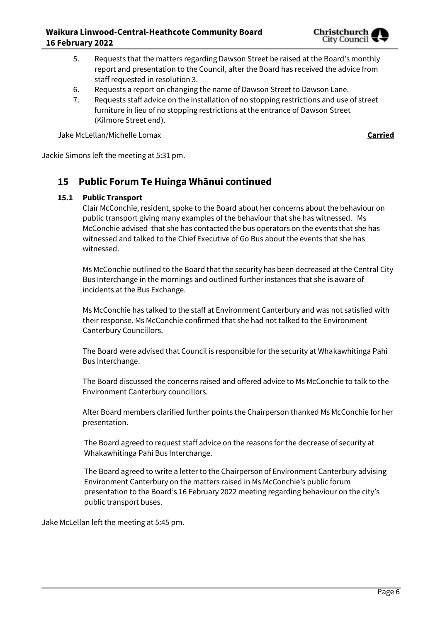

- 5. Requests that the matters regarding Dawson Street be raised at the Board's monthly report and presentation to the Council, after the Board has received the advice from staff requested in resolution 3.
- 6. Requests a report on changing the name of Dawson Street to Dawson Lane.
- 7. Requests staff advice on the installation of no stopping restrictions and use of street furniture in lieu of no stopping restrictions at the entrance of Dawson Street (Kilmore Street end).

Jake McLellan/Michelle Lomax **Carried**

Jackie Simons left the meeting at 5:31 pm.

# **15 Public Forum Te Huinga Whānui continued**

#### **15.1 Public Transport**

Clair McConchie, resident, spoke to the Board about her concerns about the behaviour on public transport giving many examples of the behaviour that she has witnessed. Ms McConchie advised that she has contacted the bus operators on the events that she has witnessed and talked to the Chief Executive of Go Bus about the events that she has witnessed.

Ms McConchie outlined to the Board that the security has been decreased at the Central City Bus Interchange in the mornings and outlined further instances that she is aware of incidents at the Bus Exchange.

Ms McConchie has talked to the staff at Environment Canterbury and was not satisfied with their response. Ms McConchie confirmed that she had not talked to the Environment Canterbury Councillors.

The Board were advised that Council is responsible for the security at Whakawhitinga Pahi Bus Interchange.

The Board discussed the concerns raised and offered advice to Ms McConchie to talk to the Environment Canterbury councillors.

After Board members clarified further points the Chairperson thanked Ms McConchie for her presentation.

The Board agreed to request staff advice on the reasons for the decrease of security at Whakawhitinga Pahi Bus Interchange.

The Board agreed to write a letter to the Chairperson of Environment Canterbury advising Environment Canterbury on the matters raised in Ms McConchie's public forum presentation to the Board's 16 February 2022 meeting regarding behaviour on the city's public transport buses.

Jake McLellan left the meeting at 5:45 pm.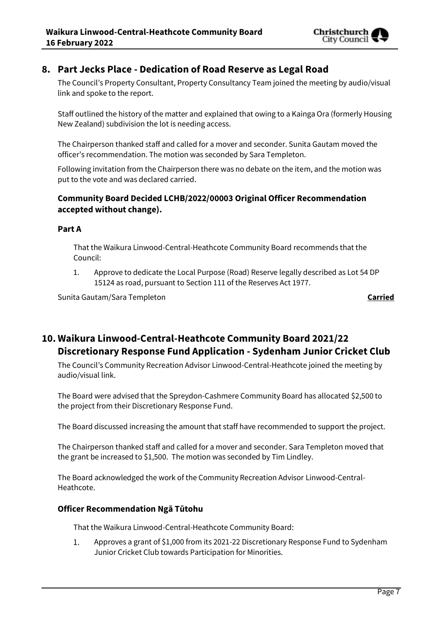

# **8. Part Jecks Place - Dedication of Road Reserve as Legal Road**

The Council's Property Consultant, Property Consultancy Team joined the meeting by audio/visual link and spoke to the report.

Staff outlined the history of the matter and explained that owing to a Kainga Ora (formerly Housing New Zealand) subdivision the lot is needing access.

The Chairperson thanked staff and called for a mover and seconder. Sunita Gautam moved the officer's recommendation. The motion was seconded by Sara Templeton.

Following invitation from the Chairperson there was no debate on the item, and the motion was put to the vote and was declared carried.

#### **Community Board Decided LCHB/2022/00003 Original Officer Recommendation accepted without change).**

#### **Part A**

That the Waikura Linwood-Central-Heathcote Community Board recommends that the Council:

1. Approve to dedicate the Local Purpose (Road) Reserve legally described as Lot 54 DP 15124 as road, pursuant to Section 111 of the Reserves Act 1977.

Sunita Gautam/Sara Templeton **Carried**

# **10. Waikura Linwood-Central-Heathcote Community Board 2021/22 Discretionary Response Fund Application - Sydenham Junior Cricket Club**

The Council's Community Recreation Advisor Linwood-Central-Heathcote joined the meeting by audio/visual link.

The Board were advised that the Spreydon-Cashmere Community Board has allocated \$2,500 to the project from their Discretionary Response Fund.

The Board discussed increasing the amount that staff have recommended to support the project.

The Chairperson thanked staff and called for a mover and seconder. Sara Templeton moved that the grant be increased to \$1,500. The motion was seconded by Tim Lindley.

The Board acknowledged the work of the Community Recreation Advisor Linwood-Central-Heathcote.

#### **Officer Recommendation Ngā Tūtohu**

That the Waikura Linwood-Central-Heathcote Community Board:

1. Approves a grant of \$1,000 from its 2021-22 Discretionary Response Fund to Sydenham Junior Cricket Club towards Participation for Minorities.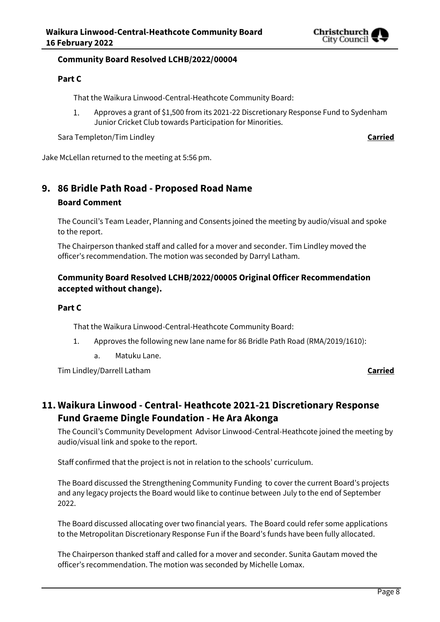

#### **Community Board Resolved LCHB/2022/00004**

#### **Part C**

That the Waikura Linwood-Central-Heathcote Community Board:

Approves a grant of \$1,500 from its 2021-22 Discretionary Response Fund to Sydenham  $\mathbf{1}$ Junior Cricket Club towards Participation for Minorities.

Sara Templeton/Tim Lindley **Carried** 

Jake McLellan returned to the meeting at 5:56 pm.

# **9. 86 Bridle Path Road - Proposed Road Name**

#### **Board Comment**

The Council's Team Leader, Planning and Consents joined the meeting by audio/visual and spoke to the report.

The Chairperson thanked staff and called for a mover and seconder. Tim Lindley moved the officer's recommendation. The motion was seconded by Darryl Latham.

#### **Community Board Resolved LCHB/2022/00005 Original Officer Recommendation accepted without change).**

#### **Part C**

That the Waikura Linwood-Central-Heathcote Community Board:

- 1. Approves the following new lane name for 86 Bridle Path Road (RMA/2019/1610):
	- a. Matuku Lane.

Tim Lindley/Darrell Latham **Carried**

# **11. Waikura Linwood - Central- Heathcote 2021-21 Discretionary Response Fund Graeme Dingle Foundation - He Ara Akonga**

The Council's Community Development Advisor Linwood-Central-Heathcote joined the meeting by audio/visual link and spoke to the report.

Staff confirmed that the project is not in relation to the schools' curriculum.

The Board discussed the Strengthening Community Funding to cover the current Board's projects and any legacy projects the Board would like to continue between July to the end of September 2022.

The Board discussed allocating over two financial years. The Board could refer some applications to the Metropolitan Discretionary Response Fun if the Board's funds have been fully allocated.

The Chairperson thanked staff and called for a mover and seconder. Sunita Gautam moved the officer's recommendation. The motion was seconded by Michelle Lomax.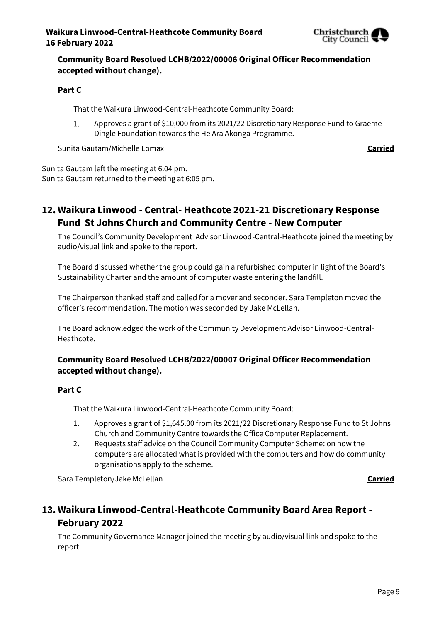

### **Community Board Resolved LCHB/2022/00006 Original Officer Recommendation accepted without change).**

#### **Part C**

That the Waikura Linwood-Central-Heathcote Community Board:

 $1.$ Approves a grant of \$10,000 from its 2021/22 Discretionary Response Fund to Graeme Dingle Foundation towards the He Ara Akonga Programme.

Sunita Gautam/Michelle Lomax **Carried**

Sunita Gautam left the meeting at 6:04 pm. Sunita Gautam returned to the meeting at 6:05 pm.

# **12. Waikura Linwood - Central- Heathcote 2021-21 Discretionary Response Fund St Johns Church and Community Centre - New Computer**

The Council's Community Development Advisor Linwood-Central-Heathcote joined the meeting by audio/visual link and spoke to the report.

The Board discussed whether the group could gain a refurbished computer in light of the Board's Sustainability Charter and the amount of computer waste entering the landfill.

The Chairperson thanked staff and called for a mover and seconder. Sara Templeton moved the officer's recommendation. The motion was seconded by Jake McLellan.

The Board acknowledged the work of the Community Development Advisor Linwood-Central-Heathcote.

### **Community Board Resolved LCHB/2022/00007 Original Officer Recommendation accepted without change).**

#### **Part C**

That the Waikura Linwood-Central-Heathcote Community Board:

- 1. Approves a grant of \$1,645.00 from its 2021/22 Discretionary Response Fund to St Johns Church and Community Centre towards the Office Computer Replacement.
- 2. Requests staff advice on the Council Community Computer Scheme: on how the computers are allocated what is provided with the computers and how do community organisations apply to the scheme.

Sara Templeton/Jake McLellan **Carried**

# **13. Waikura Linwood-Central-Heathcote Community Board Area Report - February 2022**

The Community Governance Manager joined the meeting by audio/visual link and spoke to the report.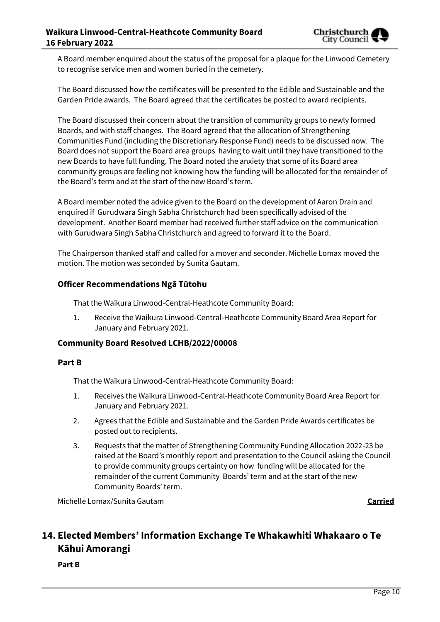

A Board member enquired about the status of the proposal for a plaque for the Linwood Cemetery to recognise service men and women buried in the cemetery.

The Board discussed how the certificates will be presented to the Edible and Sustainable and the Garden Pride awards. The Board agreed that the certificates be posted to award recipients.

The Board discussed their concern about the transition of community groups to newly formed Boards, and with staff changes. The Board agreed that the allocation of Strengthening Communities Fund (including the Discretionary Response Fund) needs to be discussed now. The Board does not support the Board area groups having to wait until they have transitioned to the new Boards to have full funding. The Board noted the anxiety that some of its Board area community groups are feeling not knowing how the funding will be allocated for the remainder of the Board's term and at the start of the new Board's term.

A Board member noted the advice given to the Board on the development of Aaron Drain and enquired if Gurudwara Singh Sabha Christchurch had been specifically advised of the development. Another Board member had received further staff advice on the communication with Gurudwara Singh Sabha Christchurch and agreed to forward it to the Board.

The Chairperson thanked staff and called for a mover and seconder. Michelle Lomax moved the motion. The motion was seconded by Sunita Gautam.

#### **Officer Recommendations Ngā Tūtohu**

That the Waikura Linwood-Central-Heathcote Community Board:

1. Receive the Waikura Linwood-Central-Heathcote Community Board Area Report for January and February 2021.

#### **Community Board Resolved LCHB/2022/00008**

#### **Part B**

That the Waikura Linwood-Central-Heathcote Community Board:

- 1. Receives the Waikura Linwood-Central-Heathcote Community Board Area Report for January and February 2021.
- 2. Agrees that the Edible and Sustainable and the Garden Pride Awards certificates be posted out to recipients.
- 3. Requests that the matter of Strengthening Community Funding Allocation 2022-23 be raised at the Board's monthly report and presentation to the Council asking the Council to provide community groups certainty on how funding will be allocated for the remainder of the current Community Boards' term and at the start of the new Community Boards' term.

Michelle Lomax/Sunita Gautam **Carried**

# **14. Elected Members' Information Exchange Te Whakawhiti Whakaaro o Te Kāhui Amorangi**

**Part B**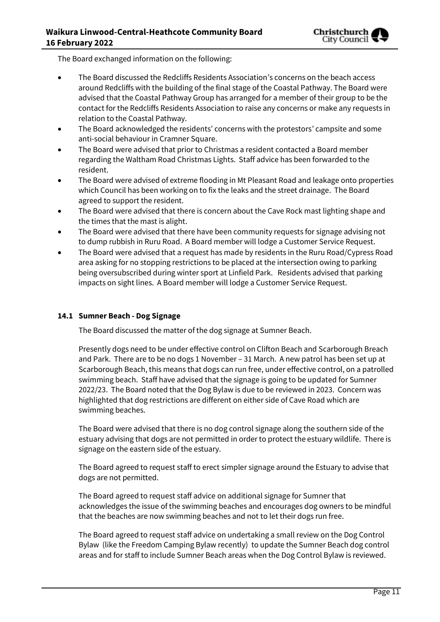The Board exchanged information on the following:

- The Board discussed the Redcliffs Residents Association's concerns on the beach access around Redcliffs with the building of the final stage of the Coastal Pathway. The Board were advised that the Coastal Pathway Group has arranged for a member of their group to be the contact for the Redcliffs Residents Association to raise any concerns or make any requests in relation to the Coastal Pathway.
- The Board acknowledged the residents' concerns with the protestors' campsite and some anti-social behaviour in Cramner Square.
- The Board were advised that prior to Christmas a resident contacted a Board member regarding the Waltham Road Christmas Lights. Staff advice has been forwarded to the resident.
- The Board were advised of extreme flooding in Mt Pleasant Road and leakage onto properties which Council has been working on to fix the leaks and the street drainage. The Board agreed to support the resident.
- The Board were advised that there is concern about the Cave Rock mast lighting shape and the times that the mast is alight.
- The Board were advised that there have been community requests for signage advising not to dump rubbish in Ruru Road. A Board member will lodge a Customer Service Request.
- The Board were advised that a request has made by residents in the Ruru Road/Cypress Road area asking for no stopping restrictions to be placed at the intersection owing to parking being oversubscribed during winter sport at Linfield Park. Residents advised that parking impacts on sight lines. A Board member will lodge a Customer Service Request.

#### **14.1 Sumner Beach - Dog Signage**

The Board discussed the matter of the dog signage at Sumner Beach.

Presently dogs need to be under effective control on Clifton Beach and Scarborough Breach and Park. There are to be no dogs 1 November – 31 March. A new patrol has been set up at Scarborough Beach, this means that dogs can run free, under effective control, on a patrolled swimming beach. Staff have advised that the signage is going to be updated for Sumner 2022/23. The Board noted that the Dog Bylaw is due to be reviewed in 2023. Concern was highlighted that dog restrictions are different on either side of Cave Road which are swimming beaches.

The Board were advised that there is no dog control signage along the southern side of the estuary advising that dogs are not permitted in order to protect the estuary wildlife. There is signage on the eastern side of the estuary.

The Board agreed to request staff to erect simpler signage around the Estuary to advise that dogs are not permitted.

The Board agreed to request staff advice on additional signage for Sumner that acknowledges the issue of the swimming beaches and encourages dog owners to be mindful that the beaches are now swimming beaches and not to let their dogs run free.

The Board agreed to request staff advice on undertaking a small review on the Dog Control Bylaw (like the Freedom Camping Bylaw recently) to update the Sumner Beach dog control areas and for staff to include Sumner Beach areas when the Dog Control Bylaw is reviewed.